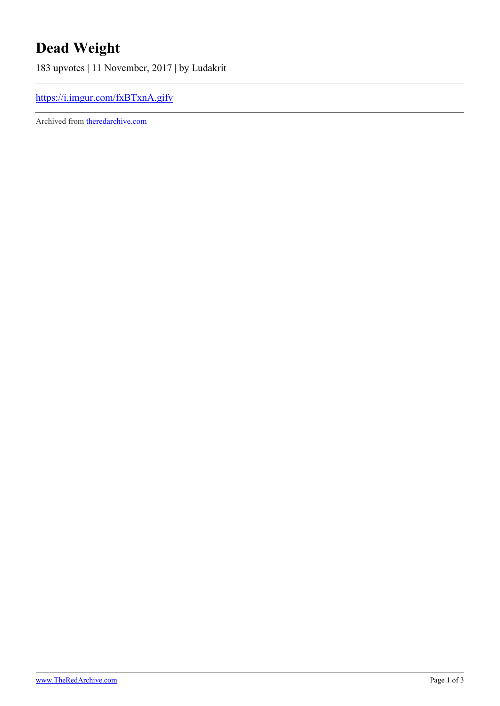## **Dead Weight**

183 upvotes | 11 November, 2017 | by Ludakrit

## <https://i.imgur.com/fxBTxnA.gifv>

Archived from [theredarchive.com](https://theredarchive.com/r/MGTOW/dead-weight.537299)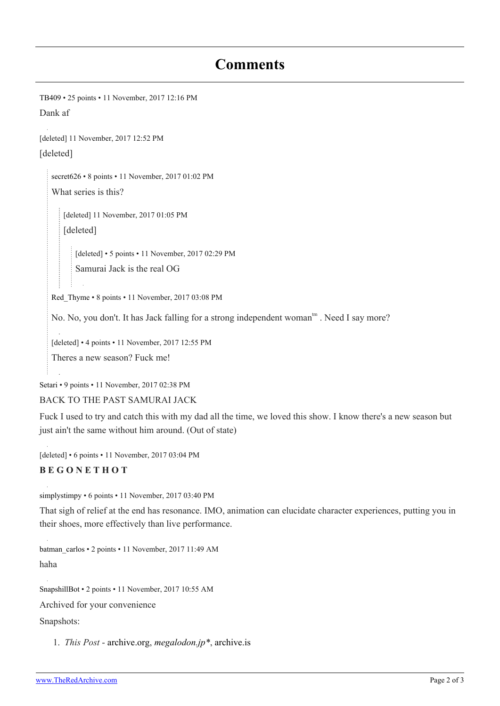## **Comments**

[TB409](https://old.reddit.com/user/TB409) • 25 points • 11 November, 2017 12:16 PM

Dank af

[deleted] 11 November, 2017 12:52 PM [deleted]

[secret626](https://old.reddit.com/user/secret626) • 8 points • 11 November, 2017 01:02 PM What series is this?

[deleted] 11 November, 2017 01:05 PM

[deleted]

[deleted] • 5 points • 11 November, 2017 02:29 PM

Samurai Jack is the real OG

[Red\\_Thyme](https://old.reddit.com/user/Red_Thyme) • 8 points • 11 November, 2017 03:08 PM

No. No, you don't. It has Jack falling for a strong independent woman<sup>tm</sup>. Need I say more?

[deleted] • 4 points • 11 November, 2017 12:55 PM

Theres a new season? Fuck me!

[Setari](https://old.reddit.com/user/Setari) • 9 points • 11 November, 2017 02:38 PM

BACK TO THE PAST SAMURAI JACK

Fuck I used to try and catch this with my dad all the time, we loved this show. I know there's a new season but just ain't the same without him around. (Out of state)

[deleted] • 6 points • 11 November, 2017 03:04 PM

## **B E G O N E T H O T**

[simplystimpy](https://old.reddit.com/user/simplystimpy) • 6 points • 11 November, 2017 03:40 PM

That sigh of relief at the end has resonance. IMO, animation can elucidate character experiences, putting you in their shoes, more effectively than live performance.

[batman\\_carlos](https://old.reddit.com/user/batman_carlos) • 2 points • 11 November, 2017 11:49 AM haha

[SnapshillBot](https://old.reddit.com/user/SnapshillBot) • 2 points • 11 November, 2017 10:55 AM

Archived for your convenience

Snapshots:

1. *This Post* - [archive.org](https://web.archive.org/20171111105513/https://i.imgur.com/fxBTxnA.gifv), *[megalodon.jp\\*](http://megalodon.jp/pc/get_simple/decide?url=https://i.imgur.com/fxBTxnA.gifv)*, [archive.is](https://archive.is/dUlYk)